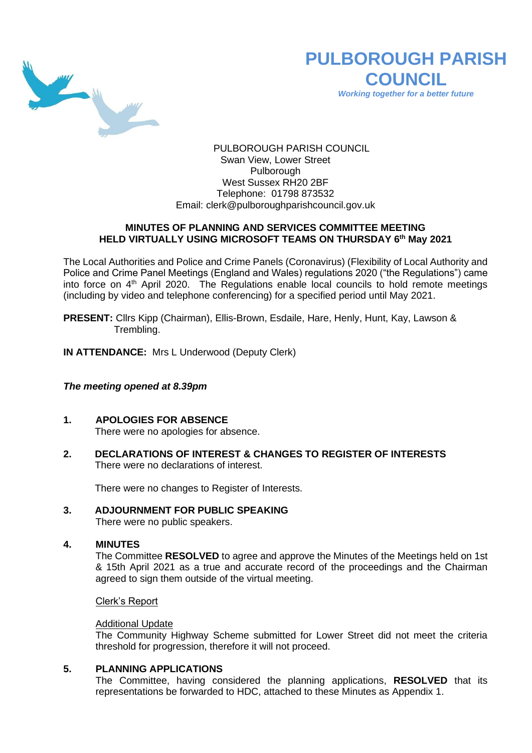

# **PULBOROUGH PARISH COUNCIL**

*Working together for a better future*

PULBOROUGH PARISH COUNCIL Swan View, Lower Street Pulborough West Sussex RH20 2BF Telephone: 01798 873532 Email: [clerk@pulboroughparishcouncil.gov.uk](mailto:clerk@pulboroughparishcouncil.gov.uk)

## **MINUTES OF PLANNING AND SERVICES COMMITTEE MEETING HELD VIRTUALLY USING MICROSOFT TEAMS ON THURSDAY 6 th May 2021**

The Local Authorities and Police and Crime Panels (Coronavirus) (Flexibility of Local Authority and Police and Crime Panel Meetings (England and Wales) regulations 2020 ("the Regulations") came into force on  $4<sup>th</sup>$  April 2020. The Regulations enable local councils to hold remote meetings (including by video and telephone conferencing) for a specified period until May 2021.

**PRESENT:** Cllrs Kipp (Chairman), Ellis-Brown, Esdaile, Hare, Henly, Hunt, Kay, Lawson & Trembling.

**IN ATTENDANCE:** Mrs L Underwood (Deputy Clerk)

## *The meeting opened at 8.39pm*

- **1. APOLOGIES FOR ABSENCE** There were no apologies for absence.
- **2. DECLARATIONS OF INTEREST & CHANGES TO REGISTER OF INTERESTS** There were no declarations of interest.

There were no changes to Register of Interests.

## **3. ADJOURNMENT FOR PUBLIC SPEAKING**

There were no public speakers.

#### **4. MINUTES**

The Committee **RESOLVED** to agree and approve the Minutes of the Meetings held on 1st & 15th April 2021 as a true and accurate record of the proceedings and the Chairman agreed to sign them outside of the virtual meeting.

Clerk's Report

#### Additional Update

The Community Highway Scheme submitted for Lower Street did not meet the criteria threshold for progression, therefore it will not proceed.

#### **5. PLANNING APPLICATIONS**

The Committee, having considered the planning applications, **RESOLVED** that its representations be forwarded to HDC, attached to these Minutes as Appendix 1.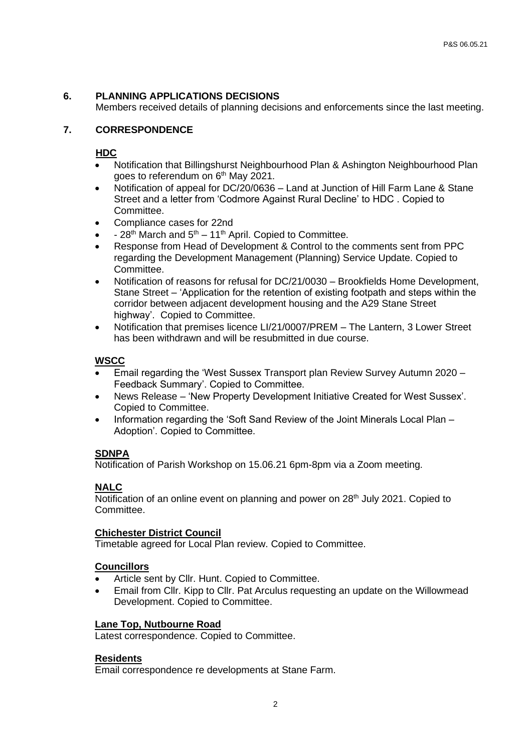## **6. PLANNING APPLICATIONS DECISIONS**

Members received details of planning decisions and enforcements since the last meeting.

## **7. CORRESPONDENCE**

## **HDC**

- Notification that Billingshurst Neighbourhood Plan & Ashington Neighbourhood Plan goes to referendum on 6<sup>th</sup> May 2021.
- Notification of appeal for DC/20/0636 Land at Junction of Hill Farm Lane & Stane Street and a letter from 'Codmore Against Rural Decline' to HDC . Copied to Committee.
- Compliance cases for 22nd
- $28<sup>th</sup>$  March and  $5<sup>th</sup> 11<sup>th</sup>$  April. Copied to Committee.
- Response from Head of Development & Control to the comments sent from PPC regarding the Development Management (Planning) Service Update. Copied to Committee.
- Notification of reasons for refusal for DC/21/0030 Brookfields Home Development, Stane Street – 'Application for the retention of existing footpath and steps within the corridor between adjacent development housing and the A29 Stane Street highway'. Copied to Committee.
- Notification that premises licence LI/21/0007/PREM The Lantern, 3 Lower Street has been withdrawn and will be resubmitted in due course.

## **WSCC**

- Email regarding the 'West Sussex Transport plan Review Survey Autumn 2020 Feedback Summary'. Copied to Committee.
- News Release 'New Property Development Initiative Created for West Sussex'. Copied to Committee.
- Information regarding the 'Soft Sand Review of the Joint Minerals Local Plan Adoption'. Copied to Committee.

## **SDNPA**

Notification of Parish Workshop on 15.06.21 6pm-8pm via a Zoom meeting.

## **NALC**

Notification of an online event on planning and power on 28<sup>th</sup> July 2021. Copied to Committee.

## **Chichester District Council**

Timetable agreed for Local Plan review. Copied to Committee.

#### **Councillors**

- Article sent by Cllr. Hunt. Copied to Committee.
- Email from Cllr. Kipp to Cllr. Pat Arculus requesting an update on the Willowmead Development. Copied to Committee.

## **Lane Top, Nutbourne Road**

Latest correspondence. Copied to Committee.

## **Residents**

Email correspondence re developments at Stane Farm.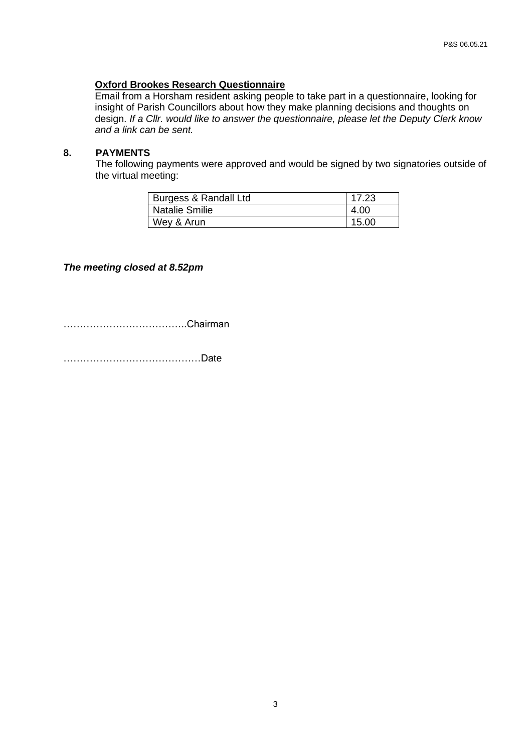#### **Oxford Brookes Research Questionnaire**

Email from a Horsham resident asking people to take part in a questionnaire, looking for insight of Parish Councillors about how they make planning decisions and thoughts on design. *If a Cllr. would like to answer the questionnaire, please let the Deputy Clerk know and a link can be sent.*

# **8. PAYMENTS**

The following payments were approved and would be signed by two signatories outside of the virtual meeting:

| Burgess & Randall Ltd | 17.23 |
|-----------------------|-------|
| <b>Natalie Smilie</b> | 4.00  |
| Wey & Arun            | 15.00 |

## *The meeting closed at 8.52pm*

………………………………..Chairman

……………………………………Date